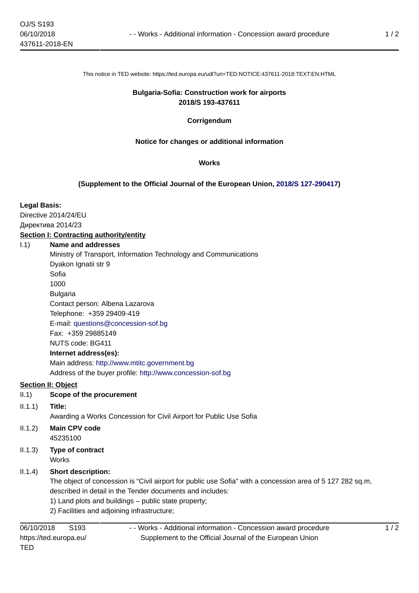This notice in TED website: https://ted.europa.eu/udl?uri=TED:NOTICE:437611-2018:TEXT:EN:HTML

#### **Bulgaria-Sofia: Construction work for airports 2018/S 193-437611**

## **Corrigendum**

# **Notice for changes or additional information**

#### **Works**

## **(Supplement to the Official Journal of the European Union, [2018/S 127-290417\)](https://ted.europa.eu/udl?uri=TED:NOTICE:290417-2018:TEXT:EN:HTML)**

## **Legal Basis:**

Directive 2014/24/EU Директива 2014/23 **Section I: Contracting authority/entity**

#### I.1) **Name and addresses**

Ministry of Transport, Information Technology and Communications Dyakon Ignatii str 9 Sofia 1000 Bulgaria Contact person: Albena Lazarova Telephone: +359 29409-419 E-mail: [questions@concession-sof.bg](mailto:questions@concession-sof.bg)  Fax: +359 29885149 NUTS code: BG411 **Internet address(es):** Main address:<http://www.mtitc.government.bg> Address of the buyer profile: <http://www.concession-sof.bg>

## **Section II: Object**

II.1) **Scope of the procurement**

## II.1.1) **Title:**

- Awarding a Works Concession for Civil Airport for Public Use Sofia
- II.1.2) **Main CPV code** 45235100
- II.1.3) **Type of contract Works**

# II.1.4) **Short description:**

The object of concession is "Civil airport for public use Sofia" with a concession area of 5 127 282 sq.m, described in detail in the Tender documents and includes:

- 1) Land plots and buildings public state property;
- 2) Facilities and adjoining infrastructure;

- - Works - Additional information - Concession award procedure Supplement to the Official Journal of the European Union